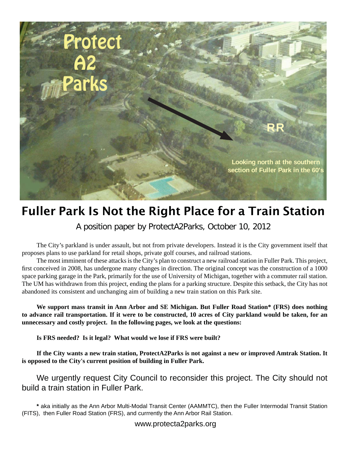

# Fuller Park Is Not the Right Place for a Train Station

A position paper by ProtectA2Parks, October 10, 2012

The City's parkland is under assault, but not from private developers. Instead it is the City government itself that proposes plans to use parkland for retail shops, private golf courses, and railroad stations.

The most imminent of these attacks is the City's plan to construct a new railroad station in Fuller Park. This project, first conceived in 2008, has undergone many changes in direction. The original concept was the construction of a 1000 space parking garage in the Park, primarily for the use of University of Michigan, together with a commuter rail station. The UM has withdrawn from this project, ending the plans for a parking structure. Despite this setback, the City has not abandoned its consistent and unchanging aim of building a new train station on this Park site.

**We support mass transit in Ann Arbor and SE Michigan. But Fuller Road Station\* (FRS) does nothing to advance rail transportation. If it were to be constructed, 10 acres of City parkland would be taken, for an unnecessary and costly project. In the following pages, we look at the questions:**

**Is FRS needed? Is it legal? What would we lose if FRS were built?**

**If the City wants a new train station, ProtectA2Parks is not against a new or improved Amtrak Station. It is opposed to the City's current position of building in Fuller Park.**

We urgently request City Council to reconsider this project. The City should not build a train station in Fuller Park.

**\*** aka initially as the Ann Arbor Multi-Modal Transit Center (AAMMTC), then the Fuller Intermodal Transit Station (FITS), then Fuller Road Station (FRS), and currrently the Ann Arbor Rail Station.

www.protecta2parks.org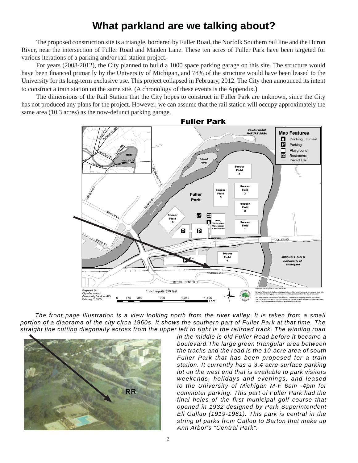## **What parkland are we talking about?**

The proposed construction site is a triangle, bordered by Fuller Road, the Norfolk Southern rail line and the Huron River, near the intersection of Fuller Road and Maiden Lane. These ten acres of Fuller Park have been targeted for various iterations of a parking and/or rail station project.

For years (2008-2012), the City planned to build a 1000 space parking garage on this site. The structure would have been financed primarily by the University of Michigan, and 78% of the structure would have been leased to the University for its long-term exclusive use. This project collapsed in February, 2012. The City then announced its intent to construct a train station on the same site. (A chronology of these events is the Appendix.)

The dimensions of the Rail Station that the City hopes to construct in Fuller Park are unknown, since the City has not produced any plans for the project. However, we can assume that the rail station will occupy approximately the same area (10.3 acres) as the now-defunct parking garage.



The front page illustration is a view looking north from the river valley. It is taken from a small *portion of a diaorama of the city circa 1960s. It shows the southern part of Fuller Park at that time. The straight line cutting diagonally across from the upper left to right is the railroad track. The winding road* 



*in the middle is old Fuller Road before it became a boulevard.The large green triangular area between the tracks and the road is the 10-acre area of south Fuller Park that has been proposed for a train station. It currently has a 3.4 acre surface parking lot on the west end that is available to park visitors weekends, holidays and evenings, and leased to the University of Michigan M-F 6am -4pm for commuter parking. This part of Fuller Park had the final holes of the first municipal golf course that opened in 1932 designed by Park Superintendent Eli Gallup (1919-1961). This park is central in the string of parks from Gallop to Barton that make up Ann Arbor's "Central Park".*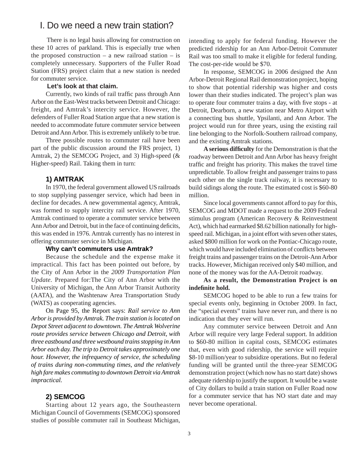### I. Do we need a new train station?

 There is no legal basis allowing for construction on these 10 acres of parkland. This is especially true when the proposed construction – a new railroad station – is completely unnecessary. Supporters of the Fuller Road Station (FRS) project claim that a new station is needed for commuter service.

#### **Let's look at that claim.**

Currently, two kinds of rail traffic pass through Ann Arbor on the East-West tracks between Detroit and Chicago: freight, and Amtrak's intercity service. However, the defenders of Fuller Road Station argue that a new station is needed to accommodate future commuter service between Detroit and Ann Arbor. This is extremely unlikely to be true.

Three possible routes to commuter rail have been part of the public discussion around the FRS project, 1) Amtrak, 2) the SEMCOG Project, and 3) High-speed (& Higher-speed) Rail. Taking them in turn:

#### **1) AMTRAK**

In 1970, the federal government allowed US railroads to stop supplying passenger service, which had been in decline for decades. A new governmental agency, Amtrak, was formed to supply intercity rail service. After 1970, Amtrak continued to operate a commuter service between Ann Arbor and Detroit, but in the face of continuing deficits, this was ended in 1976. Amtrak currently has no interest in offering commuter service in Michigan.

#### **Why can't commuters use Amtrak?**

Because the schedule and the expense make it impractical. This fact has been pointed out before, by the City of Ann Arbor in the *2009 Transportation Plan Update.* Prepared for:The City of Ann Arbor with the University of Michigan, the Ann Arbor Transit Authority (AATA), and the Washtenaw Area Transportation Study (WATS) as cooperating agencies.

On Page 95, the Report says: *Rail service to Ann Arbor is provided by Amtrak. The train station is located on Depot Street adjacent to downtown. The Amtrak Wolverine route provides service between Chicago and Detroit, with three eastbound and three westbound trains stopping in Ann Arbor each day. The trip to Detroit takes approximately one hour. However, the infrequency of service, the scheduling of trains during non-commuting times, and the relatively high fare makes commuting to downtown Detroit via Amtrak impractical.*

#### **2) SEMCOG**

Starting about 12 years ago, the Southeastern Michigan Council of Governments (SEMCOG) sponsored studies of possible commuter rail in Southeast Michigan, intending to apply for federal funding. However the predicted ridership for an Ann Arbor-Detroit Commuter Rail was too small to make it eligible for federal funding. The cost-per-ride would be \$70.

In response, SEMCOG in 2006 designed the Ann Arbor-Detroit Regional Rail demonstration project, hoping to show that potential ridership was higher and costs lower than their studies indicated. The project's plan was to operate four commuter trains a day, with five stops - at Detroit, Dearborn, a new station near Metro Airport with a connecting bus shuttle, Ypsilanti, and Ann Arbor. The project would run for three years, using the existing rail line belonging to the Norfolk-Southern railroad company, and the existing Amtrak stations.

**A serious diffi culty** for the Demonstration is that the roadway between Detroit and Ann Arbor has heavy freight traffic and freight has priority. This makes the travel time unpredictable. To allow freight and passenger trains to pass each other on the single track railway, it is necessary to build sidings along the route. The estimated cost is \$60-80 million.

Since local governments cannot afford to pay for this, SEMCOG and MDOT made a request to the 2009 Federal stimulus program (American Recovery & Reinvestment Act), which had earmarked \$8.62 billion nationally for highspeed rail. Michigan, in a joint effort with seven other states, asked \$800 million for work on the Pontiac-Chicago route, which would have included elimination of conflicts between freight trains and passenger trains on the Detroit-Ann Arbor tracks. However, Michigan received only \$40 million, and none of the money was for the AA-Detroit roadway.

#### **As a result, the Demonstration Project is on indefi nite hold.**

SEMCOG hoped to be able to run a few trains for special events only, beginning in October 2009. In fact, the "special events" trains have never run, and there is no indication that they ever will run.

Any commuter service between Detroit and Ann Arbor will require very large Federal support. In addition to \$60-80 million in capital costs, SEMCOG estimates that, even with good ridership, the service will require \$8-10 million/year to subsidize operations. But no federal funding will be granted until the three-year SEMCOG demonstration project (which now has no start date) shows adequate ridership to justify the support. It would be a waste of City dollars to build a train station on Fuller Road now for a commuter service that has NO start date and may never become operational.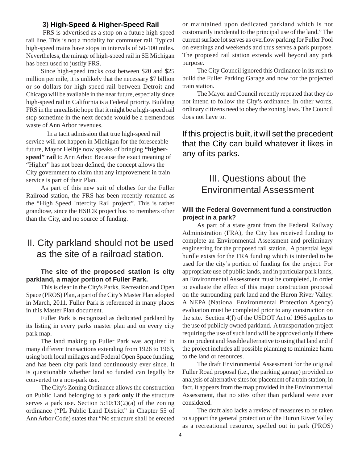#### **3) High-Speed & Higher-Speed Rail**

 FRS is advertised as a stop on a future high-speed rail line. This is not a modality for commuter rail. Typical high-speed trains have stops in intervals of 50-100 miles. Nevertheless, the mirage of high-speed rail in SE Michigan has been used to justify FRS.

Since high-speed tracks cost between \$20 and \$25 million per mile, it is unlikely that the necessary \$7 billion or so dollars for high-speed rail between Detroit and Chicago will be available in the near future, especially since high-speed rail in California is a Federal priority. Building FRS in the unrealistic hope that it might be a high-speed rail stop sometime in the next decade would be a tremendous waste of Ann Arbor revenues.

In a tacit admission that true high-speed rail service will not happen in Michigan for the foreseeable future, Mayor Heiftje now speaks of bringing **"higherspeed" rail** to Ann Arbor. Because the exact meaning of "Higher" has not been defined, the concept allows the City government to claim that any improvement in train service is part of their Plan.

As part of this new suit of clothes for the Fuller Railroad station, the FRS has been recently renamed as the "High Speed Intercity Rail project". This is rather grandiose, since the HSICR project has no members other than the City, and no source of funding.

### II. City parkland should not be used as the site of a railroad station.

#### **The site of the proposed station is city parkland, a major portion of Fuller Park.**

This is clear in the City's Parks, Recreation and Open Space (PROS) Plan, a part of the City's Master Plan adopted in March, 2011. Fuller Park is referenced in many places in this Master Plan document.

Fuller Park is recognized as dedicated parkland by its listing in every parks master plan and on every city park map.

The land making up Fuller Park was acquired in many different transactions extending from 1926 to 1963, using both local millages and Federal Open Space funding, and has been city park land continuously ever since. It is questionable whether land so funded can legally be converted to a non-park use.

The City's Zoning Ordinance allows the construction on Public Land belonging to a park **only if** the structure serves a park use. Section  $5:10:13(2)(a)$  of the zoning ordinance ("PL Public Land District" in Chapter 55 of Ann Arbor Code) states that "No structure shall be erected

or maintained upon dedicated parkland which is not customarily incidental to the principal use of the land." The current surface lot serves as overflow parking for Fuller Pool on evenings and weekends and thus serves a park purpose. The proposed rail station extends well beyond any park purpose.

The City Council ignored this Ordinance in its rush to build the Fuller Parking Garage and now for the projected train station.

The Mayor and Council recently repeated that they do not intend to follow the City's ordinance. In other words, ordinary citizens need to obey the zoning laws. The Council does not have to.

### If this project is built, it will set the precedent that the City can build whatever it likes in any of its parks.

## III. Questions about the Environmental Assessment

#### **Will the Federal Government fund a construction project in a park?**

As part of a state grant from the Federal Railway Administration (FRA), the City has received funding to complete an Environmental Assessment and preliminary engineering for the proposed rail station. A potential legal hurdle exists for the FRA funding which is intended to be used for the city's portion of funding for the project. For appropriate use of public lands, and in particular park lands, an Environmental Assessment must be completed, in order to evaluate the effect of this major construction proposal on the surrounding park land and the Huron River Valley. A NEPA (National Environmental Protection Agency) evaluation must be completed prior to any construction on the site. Section 4(f) of the USDOT Act of 1966 applies to the use of publicly owned parkland. A transportation project requiring the use of such land will be approved only if there is no prudent and feasible alternative to using that land and if the project includes all possible planning to minimize harm to the land or resources.

The draft Environmental Assessment for the original Fuller Road proposal (i.e., the parking garage) provided no analysis of alternative sites for placement of a train station; in fact, it appears from the map provided in the Environmental Assessment, that no sites other than parkland were ever considered.

The draft also lacks a review of measures to be taken to support the general protection of the Huron River Valley as a recreational resource, spelled out in park (PROS)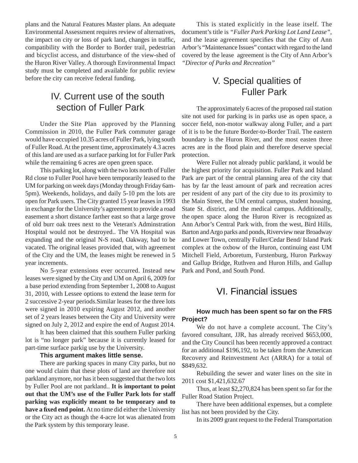plans and the Natural Features Master plans. An adequate Environmental Assessment requires review of alternatives, the impact on city or loss of park land, changes in traffic, compatibility with the Border to Border trail, pedestrian and bicyclist access, and disturbance of the view-shed of the Huron River Valley. A thorough Environmental Impact study must be completed and available for public review before the city can receive federal funding.

### IV. Current use of the south section of Fuller Park

Under the Site Plan approved by the Planning Commission in 2010, the Fuller Park commuter garage would have occupied 10.35 acres of Fuller Park, lying south of Fuller Road. At the present time, approximately 4.3 acres of this land are used as a surface parking lot for Fuller Park while the remaining 6 acres are open green space.

This parking lot, along with the two lots north of Fuller Rd close to Fuller Pool have been temporarily leased to the UM for parking on week days (Monday through Friday 6am-5pm). Weekends, holidays, and daily 5-10 pm the lots are open for Park users. The City granted 15 year leases in 1993 in exchange for the University's agreement to provide a road easement a short distance farther east so that a large grove of old burr oak trees next to the Veteran's Adminstration Hospital would not be destroyed.. The VA Hospital was expanding and the original N-S road, Oakway, had to be vacated. The original leases provided that, with agreement of the City and the UM, the leases might be renewed in 5 year increments.

No 5-year extensions ever occurred. Instead new leases were signed by the City and UM on April 6, 2009 for a base period extending from September 1, 2008 to August 31, 2010, with Lessee options to extend the lease term for 2 successive 2-year periods.Similar leases for the three lots were signed in 2010 expiring August 2012, and another set of 2 years leases between the City and University were signed on July 2, 2012 and expire the end of August 2014.

It has been claimed that this southern Fuller parking lot is "no longer park" because it is currently leased for part-time surface parkig use by the University.

#### **This argument makes little sense.**

There are parking spaces in many City parks, but no one would claim that these plots of land are therefore not parkland anymore, nor has it been suggested that the two lots by Fuller Pool are not parkland.. **It is important to point out that the UM's use of the Fuller Park lots for staff parking was explicitly meant to be temporary and to have a fi xed end point.** At no time did either the University or the City act as though the 4-acre lot was alienated from the Park system by this temporary lease.

This is stated explicitly in the lease itself. The document's title is *"Fuller Park Parking Lot Land Lease"*, and the lease agreement specifies that the City of Ann Arbor's "Maintenance Issues" contact with regard to the land covered by the lease agreement is the City of Ann Arbor's *"Director of Parks and Recreation"*

## V. Special qualities of Fuller Park

The approximately 6 acres of the proposed rail station site not used for parking is in parks use as open space, a soccer field, non-motor walkway along Fuller, and a part of it is to be the future Border-to-Border Trail. The eastern boundary is the Huron River, and the most easten three acres are in the flood plain and therefore deserve special protection.

Were Fuller not already public parkland, it would be the highest priority for acquisition. Fuller Park and Island Park are part of the central planning area of the city that has by far the least amount of park and recreation acres per resident of any part of the city due to its proximity to the Main Street, the UM central campus, student housing, State St. district, and the medical campus. Additionally, the open space along the Huron River is recognized as Ann Arbor's Central Park with, from the west, Bird Hills, Barton and Argo parks and ponds, Riverview near Broadway and Lower Town, centrally Fuller/Cedar Bend/ Island Park complex at the oxbow of the Huron, continuing east UM Mitchell Field, Arboretum, Furstenburg, Huron Parkway and Gallup Bridge, Ruthven and Huron Hills, and Gallup Park and Pond, and South Pond.

### VI. Financial issues

#### **How much has been spent so far on the FRS Project?**

We do not have a complete account. The City's favored consultant, JJR, has already received \$653,000, and the City Council has been recently approved a contract for an additional \$196,192, to be taken from the American Recovery and Reinvestment Act (ARRA) for a total of \$849,632.

Rebuilding the sewer and water lines on the site in 2011 cost \$1,421,632.67

Thus, at least \$2,270,824 has been spent so far for the Fuller Road Station Project.

There have been additional expenses, but a complete list has not been provided by the City.

In its 2009 grant request to the Federal Transportation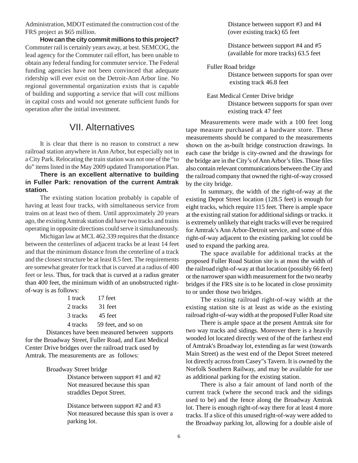Administration, MDOT estimated the construction cost of the FRS project as \$65 million.

**How can the city commit millions to this project?**  Commuter rail is certainly years away, at best. SEMCOG, the lead agency for the Commuter rail effort, has been unable to obtain any federal funding for commuter service. The Federal funding agencies have not been convinced that adequate ridership will ever exist on the Detroit-Ann Arbor line. No regional governmental organization exists that is capable of building and supporting a service that will cost millions in capital costs and would not generate sufficient funds for operation after the initial investment.

### VII. Alternatives

It is clear that there is no reason to construct a new railroad station anywhere in Ann Arbor, but especially not in a City Park. Relocating the train station was not one of the "to do" items listed in the May 2009 updated Transportation Plan.

**There is an excellent alternative to building in Fuller Park: renovation of the current Amtrak station.** 

The existing station location probably is capable of having at least four tracks, with simultaneous service from trains on at least two of them. Until approximately 20 years ago, the existing Amtrak station did have two tracks and trains operating in opposite directions could serve it simultaneously.

Michigan law at MCL 462.339 requires that the distance between the centerlines of adjacent tracks be at least 14 feet and that the minimum distance from the centerline of a track and the closest structure be at least 8.5 feet. The requirements are somewhat greater for track that is curved at a radius of 400 feet or less. Thus, for track that is curved at a radius greater than 400 feet, the minimum width of an unobstructed rightof-way is as follows:

| 1 track 17 feet             |
|-----------------------------|
| 2 tracks 31 feet            |
| 3 tracks 45 feet            |
| 4 tracks 59 feet, and so on |
|                             |

 Distances have been measured between supports for the Broadway Street, Fuller Road, and East Medical Center Drive bridges over the railroad track used by Amtrak. The measurements are as follows:

Broadway Street bridge

 Distance between support #1 and #2 Not measured because this span straddles Depot Street.

 Distance between support #2 and #3 Not measured because this span is over a parking lot.

 Distance between support #3 and #4 (over existing track) 65 feet

 Distance between support #4 and #5 (available for more tracks) 63.5 feet

 Fuller Road bridge Distance between supports for span over existing track 46.8 feet

 East Medical Center Drive bridge Distance between supports for span over existing track 47 feet

Measurements were made with a 100 feet long tape measure purchased at a hardware store. These measurements should be compared to the measurements shown on the as-built bridge construction drawings. In each case the bridge is city-owned and the drawings for the bridge are in the City's of Ann Arbor's files. Those files also contain relevant communications between the City and the railroad company that owned the right-of-way crossed by the city bridge.

In summary, the width of the right-of-way at the existing Depot Street location (128.5 feet) is enough for eight tracks, which require 115 feet. There is ample space at the existing rail station for additional sidings or tracks. it is extremely unlikely that eight tracks will ever be required for Amtrak's Ann Arbor-Detroit service, and some of this right-of-way adjacent to the existing parking lot could be used to expand the parking area.

The space available for additional tracks at the proposed Fuller Road Station site is at most the width of the railroad right-of-way at that location (possibly 66 feet) or the narrower span width measurement for the two nearby bridges if the FRS site is to be located in close proximity to or under those two bridges.

The existing railroad right-of-way width at the existing station site is at least as wide as the existing railroad right-of-way width at the proposed Fuller Road site

There is ample space at the present Amtrak site for two way tracks and sidings. Moreover there is a heavily wooded lot located directly west of the of the farthest end of Amtrak's Broadway lot, extending as far west (towards Main Street) as the west end of the Depot Street metered lot directly across from Casey"s Tavern. It is owned by the Norfolk Southern Railway, and may be available for use as additional parking for the existing station.

There is also a fair amount of land north of the current track (where the second track and the sidings used to be) and the fence along the Broadway Amtrak lot. There is enough right-of-way there for at least 4 more tracks. If a slice of this unused right-of-way were added to the Broadway parking lot, allowing for a double aisle of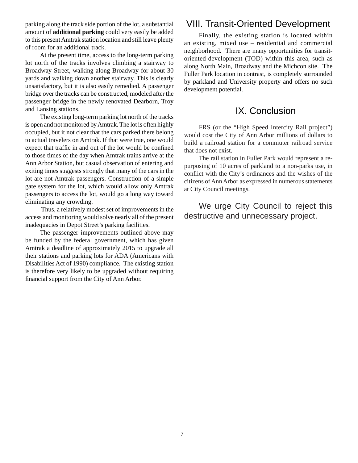parking along the track side portion of the lot, a substantial amount of **additional parking** could very easily be added to this present Amtrak station location and still leave plenty of room for an additional track.

At the present time, access to the long-term parking lot north of the tracks involves climbing a stairway to Broadway Street, walking along Broadway for about 30 yards and walking down another stairway. This is clearly unsatisfactory, but it is also easily remedied. A passenger bridge over the tracks can be constructed, modeled after the passenger bridge in the newly renovated Dearborn, Troy and Lansing **s**tations.

The existing long-term parking lot north of the tracks is open and not monitored by Amtrak. The lot is often highly occupied, but it not clear that the cars parked there belong to actual travelers on Amtrak. If that were true, one would expect that traffic in and out of the lot would be confined to those times of the day when Amtrak trains arrive at the Ann Arbor Station, but casual observation of entering and exiting times suggests strongly that many of the cars in the lot are not Amtrak passengers. Construction of a simple gate system for the lot, which would allow only Amtrak passengers to access the lot, would go a long way toward eliminating any crowding.

 Thus, a relatively modest set of improvements in the access and monitoring would solve nearly all of the present inadequacies in Depot Street's parking facilities.

The passenger improvements outlined above may be funded by the federal government, which has given Amtrak a deadline of approximately 2015 to upgrade all their stations and parking lots for ADA (Americans with Disabilities Act of 1990) compliance. The existing station is therefore very likely to be upgraded without requiring financial support from the City of Ann Arbor.

### VIII. Transit-Oriented Development

Finally, the existing station is located within an existing, mixed use – residential and commercial neighborhood. There are many opportunities for transitoriented-development (TOD) within this area, such as along North Main, Broadway and the Michcon site. The Fuller Park location in contrast, is completely surrounded by parkland and University property and offers no such development potential.

### IX. Conclusion

FRS (or the "High Speed Intercity Rail project") would cost the City of Ann Arbor millions of dollars to build a railroad station for a commuter railroad service that does not exist.

The rail station in Fuller Park would represent a repurposing of 10 acres of parkland to a non-parks use, in conflict with the City's ordinances and the wishes of the citizens of Ann Arbor as expressed in numerous statements at City Council meetings.

We urge City Council to reject this destructive and unnecessary project.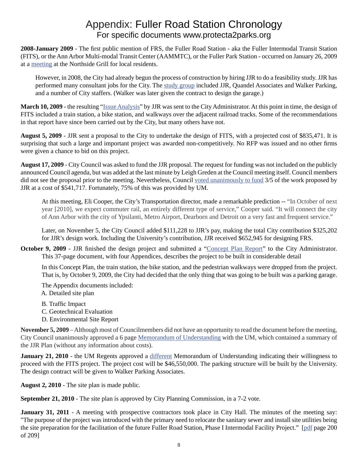## Appendix: Fuller Road Station Chronology For specific documents www.protecta2parks.org

**2008-January 2009** - The first public mention of FRS, the Fuller Road Station - aka the Fuller Intermodal Transit Station (FITS), or the Ann Arbor Multi-modal Transit Center (AAMMTC), or the Fuller Park Station - occurred on January 26, 2009 at a meeting at the Northside Grill for local residents.

However, in 2008, the City had already begun the process of construction by hiring JJR to do a feasibility study. JJR has performed many consultant jobs for the City. The study group included JJR, Quandel Associates and Walker Parking, and a number of City staffers. (Walker was later given the contract to design the garage.)

**March 10, 2009** - the resulting "Issue Analysis" by JJR was sent to the City Administrator. At this point in time, the design of FITS included a train station, a bike station, and walkways over the adjacent railroad tracks. Some of the recommendations in that report have since been carried out by the City, but many others have not.

**August 5, 2009** - JJR sent a proposal to the City to undertake the design of FITS, with a projected cost of \$835,471. It is surprising that such a large and important project was awarded non-competitively. No RFP was issued and no other firms were given a chance to bid on this project.

**August 17, 2009** - City Council was asked to fund the JJR proposal. The request for funding was not included on the publicly announced Council agenda, but was added at the last minute by Leigh Greden at the Council meeting itself. Council members did not see the proposal prior to the meeting. Nevertheless, Council voted unanimously to fund 3/5 of the work proposed by JJR at a cost of \$541,717. Fortunately, 75% of this was provided by UM.

 At this meeting, Eli Cooper, the City's Transportation director, made a remarkable prediction -- "In October of next year [2010], we expect commuter rail, an entirely different type of service," Cooper said. "It will connect the city of Ann Arbor with the city of Ypsilanti, Metro Airport, Dearborn and Detroit on a very fast and frequent service."

 Later, on November 5, the City Council added \$111,228 to JJR's pay, making the total City contribution \$325,202 for JJR's design work. Including the University's contribution, JJR received \$652,945 for designing FRS.

**October 9, 2009** - JJR finished the design project and submitted a "Concept Plan Report" to the City Administrator. This 37-page document, with four Appendices, describes the project to be built in considerable detail

 In this Concept Plan, the train station, the bike station, and the pedestrian walkways were dropped from the project. That is, by October 9, 2009, the City had decided that the only thing that was going to be built was a parking garage.

The Appendix documents included:

A. Detailed site plan

B. Traffic Impact

- C. Geotechnical Evaluation
- D. Environmental Site Report

**November 5, 2009** – Although most of Councilmembers did not have an opportunity to read the document before the meeting, City Council unanimously approved a 6 page Memorandum of Understanding with the UM, which contained a summary of the JJR Plan (without any information about costs).

**January 21, 2010** - the UM Regents approved a different Memorandum of Understanding indicating their willingness to proceed with the FITS project. The project cost will be \$46,550,000. The parking structure will be built by the University. The design contract will be given to Walker Parking Associates.

**August 2, 2010** - The site plan is made public.

**September 21, 2010** - The site plan is approved by City Planning Commission, in a 7-2 vote.

**January 31, 2011** - A meeting with prospective contractors took place in City Hall. The minutes of the meeting say: "The purpose of the project was introduced with the primary need to relocate the sanitary sewer and install site utilities being the site preparation for the facilitation of the future FulIer Road Station, Phase I Intermodal Facility Project." [pdf page 200 of 209]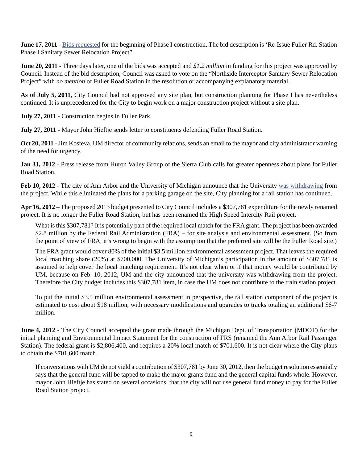**June 17, 2011** - Bids requested for the beginning of Phase I construction. The bid description is 'Re-Issue Fuller Rd. Station Phase I Sanitary Sewer Relocation Project".

**June 20, 2011** - Three days later, one of the bids was accepted and *\$1.2 million* in funding for this project was approved by Council. Instead of the bid description, Council was asked to vote on the "Northside Interceptor Sanitary Sewer Relocation Project" with *no mention* of Fuller Road Station in the resolution or accompanying explanatory material.

**As of July 5, 2011**, City Council had not approved any site plan, but construction planning for Phase I has nevertheless continued. It is unprecedented for the City to begin work on a major construction project without a site plan.

**July 27, 2011** - Construction begins in Fuller Park.

**July 27, 2011** - Mayor John Hieftje sends letter to constituents defending Fuller Road Station.

**Oct 20, 2011** - Jim Kosteva, UM director of community relations, sends an email to the mayor and city administrator warning of the need for urgency.

**Jan 31, 2012** - Press release from Huron Valley Group of the Sierra Club calls for greater openness about plans for Fuller Road Station.

**Feb 10, 2012** - The city of Ann Arbor and the University of Michigan announce that the University was withdrawing from the project. While this eliminated the plans for a parking garage on the site, City planning for a rail station has continued.

**Apr 16, 2012** – The proposed 2013 budget presented to City Council includes a \$307,781 expenditure for the newly renamed project. It is no longer the Fuller Road Station, but has been renamed the High Speed Intercity Rail project.

What is this \$307,781? It is potentially part of the required local match for the FRA grant. The project has been awarded \$2.8 million by the Federal Rail Administration (FRA) – for site analysis and environmental assessment. (So from the point of view of FRA, it's wrong to begin with the assumption that the preferred site will be the Fuller Road site.)

The FRA grant would cover 80% of the initial \$3.5 million environmental assessment project. That leaves the required local matching share (20%) at \$700,000. The University of Michigan's participation in the amount of \$307,781 is assumed to help cover the local matching requirement. It's not clear when or if that money would be contributed by UM, because on Feb. 10, 2012, UM and the city announced that the university was withdrawing from the project. Therefore the City budget includes this \$307,781 item, in case the UM does not contribute to the train station project.

To put the initial \$3.5 million environmental assessment in perspective, the rail station component of the project is estimated to cost about \$18 million, with necessary modifications and upgrades to tracks totaling an additional \$6-7 million.

**June 4, 2012** - The City Council accepted the grant made through the Michigan Dept. of Transportation (MDOT) for the initial planning and Environmental Impact Statement for the construction of FRS (renamed the Ann Arbor Rail Passenger Station). The federal grant is \$2,806,400, and requires a 20% local match of \$701,600. It is not clear where the City plans to obtain the \$701,600 match.

If conversations with UM do not yield a contribution of \$307,781 by June 30, 2012, then the budget resolution essentially says that the general fund will be tapped to make the major grants fund and the general capital funds whole. However, mayor John Hieftje has stated on several occasions, that the city will not use general fund money to pay for the Fuller Road Station project.